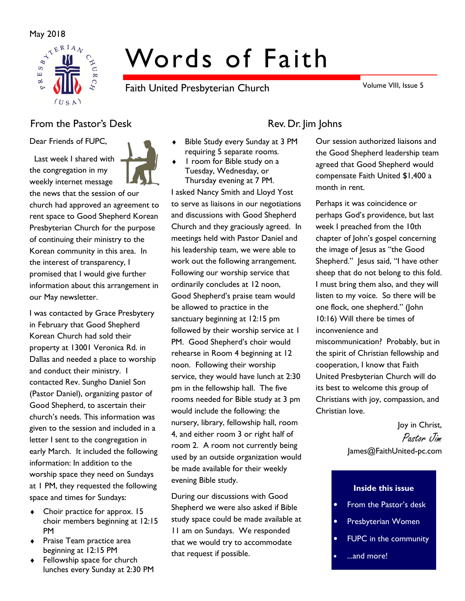

# Words of Faith

Faith United Presbyterian Church

Volume VIII, Issue 5

# From the Pastor's Desk Rev. Dr. Jim Johns

Dear Friends of FUPC,

 Last week I shared with the congregation in my weekly internet message

the news that the session of our church had approved an agreement to rent space to Good Shepherd Korean Presbyterian Church for the purpose of continuing their ministry to the Korean community in this area. In the interest of transparency, I promised that I would give further information about this arrangement in our May newsletter.

I was contacted by Grace Presbytery in February that Good Shepherd Korean Church had sold their property at 13001 Veronica Rd. in Dallas and needed a place to worship and conduct their ministry. I contacted Rev. Sungho Daniel Son (Pastor Daniel), organizing pastor of Good Shepherd, to ascertain their church's needs. This information was given to the session and included in a letter I sent to the congregation in early March. It included the following information: In addition to the worship space they need on Sundays at 1 PM, they requested the following space and times for Sundays:

- Choir practice for approx. 15 choir members beginning at 12:15 PM
- ♦ Praise Team practice area beginning at 12:15 PM
- ♦ Fellowship space for church lunches every Sunday at 2:30 PM



- Bible Study every Sunday at 3 PM requiring 5 separate rooms.
- I room for Bible study on a Tuesday, Wednesday, or Thursday evening at 7 PM.

I asked Nancy Smith and Lloyd Yost to serve as liaisons in our negotiations and discussions with Good Shepherd Church and they graciously agreed. In meetings held with Pastor Daniel and his leadership team, we were able to work out the following arrangement. Following our worship service that ordinarily concludes at 12 noon, Good Shepherd's praise team would be allowed to practice in the sanctuary beginning at 12:15 pm followed by their worship service at 1 PM. Good Shepherd's choir would rehearse in Room 4 beginning at 12 noon. Following their worship service, they would have lunch at 2:30 pm in the fellowship hall. The five rooms needed for Bible study at 3 pm would include the following: the nursery, library, fellowship hall, room 4, and either room 3 or right half of room 2. A room not currently being used by an outside organization would be made available for their weekly evening Bible study.

During our discussions with Good Shepherd we were also asked if Bible study space could be made available at 11 am on Sundays. We responded that we would try to accommodate that request if possible.

Our session authorized liaisons and the Good Shepherd leadership team agreed that Good Shepherd would compensate Faith United \$1,400 a month in rent.

Perhaps it was coincidence or perhaps God's providence, but last week I preached from the 10th chapter of John's gospel concerning the image of Jesus as "the Good Shepherd." Jesus said, "I have other sheep that do not belong to this fold. I must bring them also, and they will listen to my voice. So there will be one flock, one shepherd." (John 10:16) Will there be times of inconvenience and miscommunication? Probably, but in the spirit of Christian fellowship and cooperation, I know that Faith United Presbyterian Church will do its best to welcome this group of Christians with joy, compassion, and Christian love.

> Joy in Christ, Pastor Jim James@FaithUnited-pc.com

#### Inside this issue

- From the Pastor's desk
- Presbyterian Women
- FUPC in the community
- ...and more!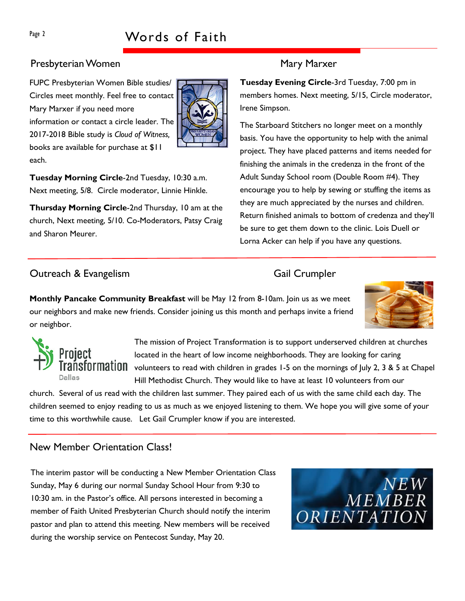# Presbyterian Women Mary Marxer

FUPC Presbyterian Women Bible studies/ Circles meet monthly. Feel free to contact Mary Marxer if you need more information or contact a circle leader. The 2017-2018 Bible study is Cloud of Witness, books are available for purchase at \$11 each.



Tuesday Morning Circle-2nd Tuesday, 10:30 a.m. Next meeting, 5/8. Circle moderator, Linnie Hinkle.

Thursday Morning Circle-2nd Thursday, 10 am at the church, Next meeting, 5/10. Co-Moderators, Patsy Craig and Sharon Meurer.

Tuesday Evening Circle-3rd Tuesday, 7:00 pm in members homes. Next meeting, 5/15, Circle moderator, Irene Simpson.

The Starboard Stitchers no longer meet on a monthly basis. You have the opportunity to help with the animal project. They have placed patterns and items needed for finishing the animals in the credenza in the front of the Adult Sunday School room (Double Room #4). They encourage you to help by sewing or stuffing the items as they are much appreciated by the nurses and children. Return finished animals to bottom of credenza and they'll be sure to get them down to the clinic. Lois Duell or Lorna Acker can help if you have any questions.

## Outreach & Evangelism Gail Crumpler

**Monthly Pancake Community Breakfast** will be May 12 from 8-10am. Join us as we meet our neighbors and make new friends. Consider joining us this month and perhaps invite a friend or neighbor.





The mission of Project Transformation is to support underserved children at churches located in the heart of low income neighborhoods. They are looking for caring  $\sf{Fransformation}$  volunteers to read with children in grades 1-5 on the mornings of July 2, 3 & 5 at Chapel Hill Methodist Church. They would like to have at least 10 volunteers from our

church. Several of us read with the children last summer. They paired each of us with the same child each day. The children seemed to enjoy reading to us as much as we enjoyed listening to them. We hope you will give some of your time to this worthwhile cause. Let Gail Crumpler know if you are interested.

## New Member Orientation Class!

The interim pastor will be conducting a New Member Orientation Class Sunday, May 6 during our normal Sunday School Hour from 9:30 to 10:30 am. in the Pastor's office. All persons interested in becoming a member of Faith United Presbyterian Church should notify the interim pastor and plan to attend this meeting. New members will be received during the worship service on Pentecost Sunday, May 20.

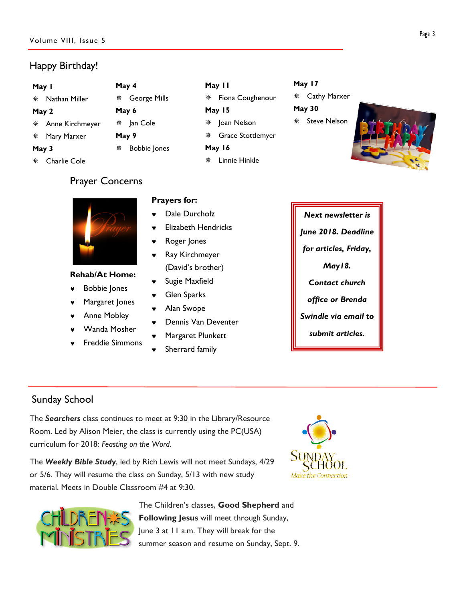# Happy Birthday!

#### May 1

Nathan Miller

#### May 2

- Anne Kirchmeyer
- Mary Marxer

#### May 3

Charlie Cole

# Prayer Concerns

May 4

May 6

May 9

George Mills

Bobbie Jones

※ Jan Cole

### Rehab/At Home:

- **Bobbie Jones**
- Margaret Jones
- Anne Mobley
- Wanda Mosher
- **Freddie Simmons**

## Prayers for:

- Dale Durcholz
- **Flizabeth Hendricks**

May 11

May 15

May 16

 $*$  Fiona Coughenour

Grace Stottlemyer

Linnie Hinkle

\* Joan Nelson

- Roger Jones
- ♥ Ray Kirchmeyer (David's brother)
- Sugie Maxfield
- ♥ Glen Sparks
- ♥ Alan Swope
- Dennis Van Deventer
- Margaret Plunkett
- Sherrard family

# May 17

 Cathy Marxer May 30 \* Steve Nelson



Next newsletter is June 2018. Deadline for articles, Friday, May18. Contact church office or Brenda Swindle via email to submit articles.

# Sunday School

The Searchers class continues to meet at 9:30 in the Library/Resource Room. Led by Alison Meier, the class is currently using the PC(USA) curriculum for 2018: Feasting on the Word.

The Weekly Bible Study, led by Rich Lewis will not meet Sundays, 4/29 or 5/6. They will resume the class on Sunday, 5/13 with new study material. Meets in Double Classroom #4 at 9:30.





The Children's classes, Good Shepherd and Following Jesus will meet through Sunday, June 3 at 11 a.m. They will break for the summer season and resume on Sunday, Sept. 9.